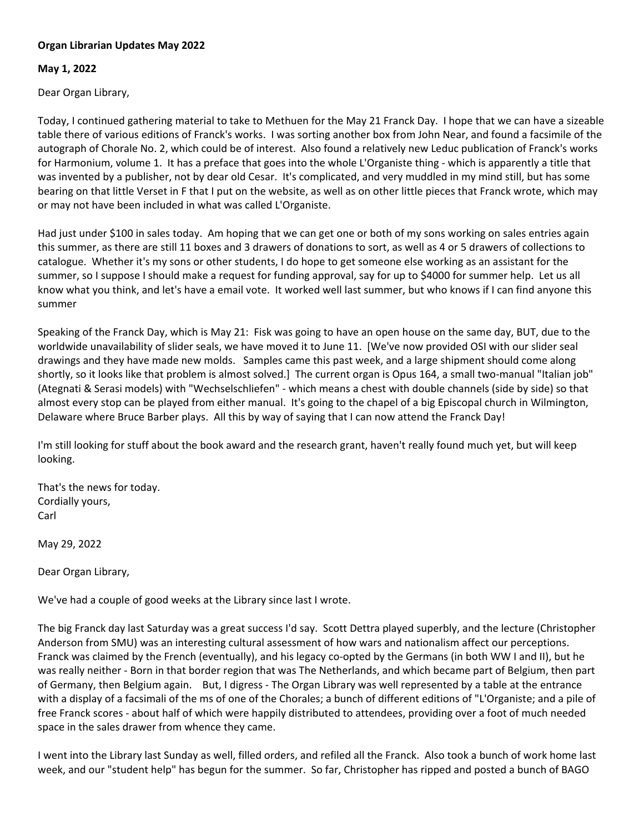## **Organ Librarian Updates May 2022**

## **May 1, 2022**

Dear Organ Library,

Today, I continued gathering material to take to Methuen for the May 21 Franck Day. I hope that we can have a sizeable table there of various editions of Franck's works. I was sorting another box from John Near, and found a facsimile of the autograph of Chorale No. 2, which could be of interest. Also found a relatively new Leduc publication of Franck's works for Harmonium, volume 1. It has a preface that goes into the whole L'Organiste thing - which is apparently a title that was invented by a publisher, not by dear old Cesar. It's complicated, and very muddled in my mind still, but has some bearing on that little Verset in F that I put on the website, as well as on other little pieces that Franck wrote, which may or may not have been included in what was called L'Organiste.

Had just under \$100 in sales today. Am hoping that we can get one or both of my sons working on sales entries again this summer, as there are still 11 boxes and 3 drawers of donations to sort, as well as 4 or 5 drawers of collections to catalogue. Whether it's my sons or other students, I do hope to get someone else working as an assistant for the summer, so I suppose I should make a request for funding approval, say for up to \$4000 for summer help. Let us all know what you think, and let's have a email vote. It worked well last summer, but who knows if I can find anyone this summer

Speaking of the Franck Day, which is May 21: Fisk was going to have an open house on the same day, BUT, due to the worldwide unavailability of slider seals, we have moved it to June 11. [We've now provided OSI with our slider seal drawings and they have made new molds. Samples came this past week, and a large shipment should come along shortly, so it looks like that problem is almost solved.] The current organ is Opus 164, a small two-manual "Italian job" (Ategnati & Serasi models) with "Wechselschliefen" - which means a chest with double channels (side by side) so that almost every stop can be played from either manual. It's going to the chapel of a big Episcopal church in Wilmington, Delaware where Bruce Barber plays. All this by way of saying that I can now attend the Franck Day!

I'm still looking for stuff about the book award and the research grant, haven't really found much yet, but will keep looking.

That's the news for today. Cordially yours, Carl

May 29, 2022

Dear Organ Library,

We've had a couple of good weeks at the Library since last I wrote.

The big Franck day last Saturday was a great success I'd say. Scott Dettra played superbly, and the lecture (Christopher Anderson from SMU) was an interesting cultural assessment of how wars and nationalism affect our perceptions. Franck was claimed by the French (eventually), and his legacy co-opted by the Germans (in both WW I and II), but he was really neither - Born in that border region that was The Netherlands, and which became part of Belgium, then part of Germany, then Belgium again. But, I digress - The Organ Library was well represented by a table at the entrance with a display of a facsimali of the ms of one of the Chorales; a bunch of different editions of "L'Organiste; and a pile of free Franck scores - about half of which were happily distributed to attendees, providing over a foot of much needed space in the sales drawer from whence they came.

I went into the Library last Sunday as well, filled orders, and refiled all the Franck. Also took a bunch of work home last week, and our "student help" has begun for the summer. So far, Christopher has ripped and posted a bunch of BAGO